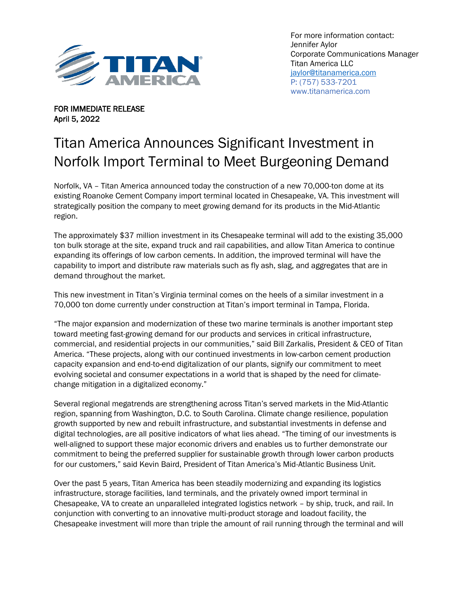

For more information contact: Jennifer Aylor Corporate Communications Manager Titan America LLC [jaylor@titanamerica.com](mailto:jaylor@titanamerica.com) P: (757) 533-7201 www.titanamerica.com

FOR IMMEDIATE RELEASE April 5, 2022

## Titan America Announces Significant Investment in Norfolk Import Terminal to Meet Burgeoning Demand

Norfolk, VA – Titan America announced today the construction of a new 70,000-ton dome at its existing Roanoke Cement Company import terminal located in Chesapeake, VA. This investment will strategically position the company to meet growing demand for its products in the Mid-Atlantic region.

The approximately \$37 million investment in its Chesapeake terminal will add to the existing 35,000 ton bulk storage at the site, expand truck and rail capabilities, and allow Titan America to continue expanding its offerings of low carbon cements. In addition, the improved terminal will have the capability to import and distribute raw materials such as fly ash, slag, and aggregates that are in demand throughout the market.

This new investment in Titan's Virginia terminal comes on the heels of a similar investment in a 70,000 ton dome currently under construction at Titan's import terminal in Tampa, Florida.

"The major expansion and modernization of these two marine terminals is another important step toward meeting fast-growing demand for our products and services in critical infrastructure, commercial, and residential projects in our communities," said Bill Zarkalis, President & CEO of Titan America. "These projects, along with our continued investments in low-carbon cement production capacity expansion and end-to-end digitalization of our plants, signify our commitment to meet evolving societal and consumer expectations in a world that is shaped by the need for climatechange mitigation in a digitalized economy."

Several regional megatrends are strengthening across Titan's served markets in the Mid-Atlantic region, spanning from Washington, D.C. to South Carolina. Climate change resilience, population growth supported by new and rebuilt infrastructure, and substantial investments in defense and digital technologies, are all positive indicators of what lies ahead. "The timing of our investments is well-aligned to support these major economic drivers and enables us to further demonstrate our commitment to being the preferred supplier for sustainable growth through lower carbon products for our customers," said Kevin Baird, President of Titan America's Mid-Atlantic Business Unit.

Over the past 5 years, Titan America has been steadily modernizing and expanding its logistics infrastructure, storage facilities, land terminals, and the privately owned import terminal in Chesapeake, VA to create an unparalleled integrated logistics network – by ship, truck, and rail. In conjunction with converting to an innovative multi-product storage and loadout facility, the Chesapeake investment will more than triple the amount of rail running through the terminal and will